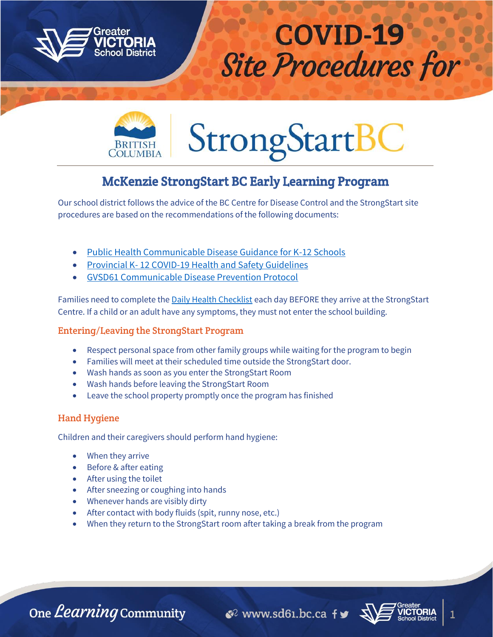



# **StrongStartB**

# McKenzie StrongStart BC Early Learning Program

Our school district follows the advice of the BC Centre for Disease Control and the StrongStart site procedures are based on the recommendations of the following documents:

- [Public Health Communicable Disease Guidance for K-12 Schools](https://www.sd61.bc.ca/wp-content/uploads/sites/91/2021/08/BCCDC-Health-Guidance-k-12-schools.pdf)
- Provincial K- [12 COVID-19 Health and Safety Guidelines](https://www.sd61.bc.ca/wp-content/uploads/sites/91/2021/08/Provincial-k-12-covid-19-health-safety-guidlines.pdf)
- [GVSD61 Communicable Disease Prevention Protocol](file:///C:/Users/lswan/Desktop/GVSD61%20Communicable%20Disease%20Prevention%20Protocol)

Families need to complete the [Daily Health Checklist](https://www.sd61.bc.ca/wp-content/uploads/sites/91/2021/01/GVSD61_DailyHealthChecklist_20210115_parents.pdf) each day BEFORE they arrive at the StrongStart Centre. If a child or an adult have any symptoms, they must not enter the school building.

# Entering/Leaving the StrongStart Program

- Respect personal space from other family groups while waiting for the program to begin
- Families will meet at their scheduled time outside the StrongStart door.
- Wash hands as soon as you enter the StrongStart Room
- Wash hands before leaving the StrongStart Room
- Leave the school property promptly once the program has finished

# Hand Hygiene

Children and their caregivers should perform hand hygiene:

- When they arrive
- Before & after eating
- After using the toilet
- After sneezing or coughing into hands
- Whenever hands are visibly dirty
- After contact with body fluids (spit, runny nose, etc.)
- When they return to the StrongStart room after taking a break from the program

One *Learning* Community

 $\mathcal{C}^2$  www.sd61.bc.ca fy